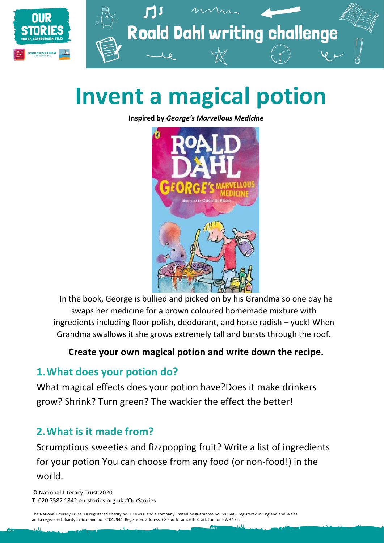

# **Invent a magical potion**

**Inspired by** *George's Marvellous Medicine*



In the book, George is bullied and picked on by his Grandma so one day he swaps her medicine for a brown coloured homemade mixture with ingredients including floor polish, deodorant, and horse radish – yuck! When Grandma swallows it she grows extremely tall and bursts through the roof.

#### **Create your own magical potion and write down the recipe.**

#### **1.What does your potion do?**

What magical effects does your potion have?Does it make drinkers grow? Shrink? Turn green? The wackier the effect the better!

#### **2.What is it made from?**

Scrumptious sweeties and fizzpopping fruit? Write a list of ingredients for your potion You can choose from any food (or non-food!) in the world.

© National Literacy Trust 2020 T: 020 7587 1842 ourstories.org.uk #OurStories

The National Literacy Trust is a registered charity no. 1116260 and a company limited by guarantee no. 5836486 registered in England and Wales and a registered charity in Scotland no. SC042944. Registered address: 68 South Lambeth Road, London SW8 1RL.